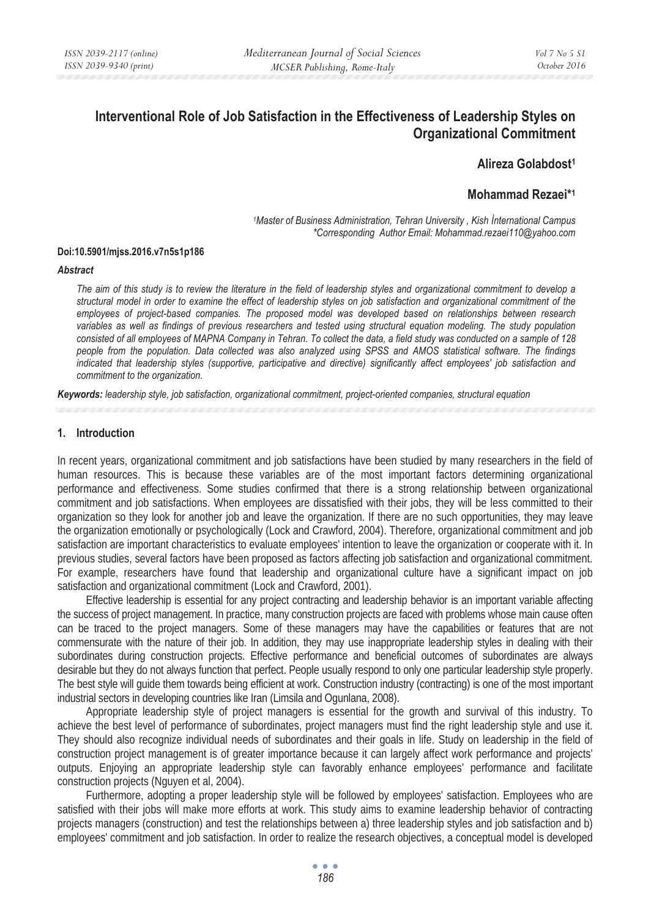# **Interventional Role of Job Satisfaction in the Effectiveness of Leadership Styles on Organizational Commitment**

# **Alireza Golabdost1**

# **Mohammad Rezaei\*1**

*1Master of Business Administration, Tehran University, Kish International Campus \*Corresponding Author Email: Mohammad.rezaei110@yahoo.com* 

#### **Doi:10.5901/mjss.2016.v7n5s1p186**

#### *Abstract*

*The aim of this study is to review the literature in the field of leadership styles and organizational commitment to develop a structural model in order to examine the effect of leadership styles on job satisfaction and organizational commitment of the employees of project-based companies. The proposed model was developed based on relationships between research variables as well as findings of previous researchers and tested using structural equation modeling. The study population consisted of all employees of MAPNA Company in Tehran. To collect the data, a field study was conducted on a sample of 128 people from the population. Data collected was also analyzed using SPSS and AMOS statistical software. The findings indicated that leadership styles (supportive, participative and directive) significantly affect employees' job satisfaction and commitment to the organization.* 

*Keywords: leadership style, job satisfaction, organizational commitment, project-oriented companies, structural equation* 

# **1. Introduction**

In recent years, organizational commitment and job satisfactions have been studied by many researchers in the field of human resources. This is because these variables are of the most important factors determining organizational performance and effectiveness. Some studies confirmed that there is a strong relationship between organizational commitment and job satisfactions. When employees are dissatisfied with their jobs, they will be less committed to their organization so they look for another job and leave the organization. If there are no such opportunities, they may leave the organization emotionally or psychologically (Lock and Crawford, 2004). Therefore, organizational commitment and job satisfaction are important characteristics to evaluate employees' intention to leave the organization or cooperate with it. In previous studies, several factors have been proposed as factors affecting job satisfaction and organizational commitment. For example, researchers have found that leadership and organizational culture have a significant impact on job satisfaction and organizational commitment (Lock and Crawford, 2001).

Effective leadership is essential for any project contracting and leadership behavior is an important variable affecting the success of project management. In practice, many construction projects are faced with problems whose main cause often can be traced to the project managers. Some of these managers may have the capabilities or features that are not commensurate with the nature of their job. In addition, they may use inappropriate leadership styles in dealing with their subordinates during construction projects. Effective performance and beneficial outcomes of subordinates are always desirable but they do not always function that perfect. People usually respond to only one particular leadership style properly. The best style will guide them towards being efficient at work. Construction industry (contracting) is one of the most important industrial sectors in developing countries like Iran (Limsila and Ogunlana, 2008).

Appropriate leadership style of project managers is essential for the growth and survival of this industry. To achieve the best level of performance of subordinates, project managers must find the right leadership style and use it. They should also recognize individual needs of subordinates and their goals in life. Study on leadership in the field of construction project management is of greater importance because it can largely affect work performance and projects' outputs. Enjoying an appropriate leadership style can favorably enhance employees' performance and facilitate construction projects (Nguyen et al, 2004).

Furthermore, adopting a proper leadership style will be followed by employees' satisfaction. Employees who are satisfied with their jobs will make more efforts at work. This study aims to examine leadership behavior of contracting projects managers (construction) and test the relationships between a) three leadership styles and job satisfaction and b) employees' commitment and job satisfaction. In order to realize the research objectives, a conceptual model is developed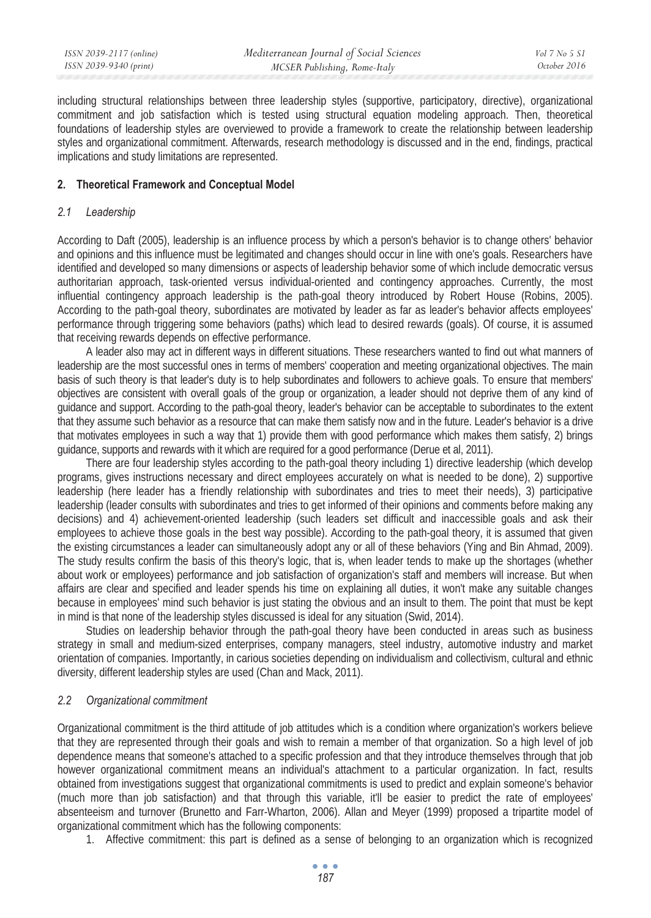including structural relationships between three leadership styles (supportive, participatory, directive), organizational commitment and job satisfaction which is tested using structural equation modeling approach. Then, theoretical foundations of leadership styles are overviewed to provide a framework to create the relationship between leadership styles and organizational commitment. Afterwards, research methodology is discussed and in the end, findings, practical implications and study limitations are represented.

# **2. Theoretical Framework and Conceptual Model**

# *2.1 Leadership*

According to Daft (2005), leadership is an influence process by which a person's behavior is to change others' behavior and opinions and this influence must be legitimated and changes should occur in line with one's goals. Researchers have identified and developed so many dimensions or aspects of leadership behavior some of which include democratic versus authoritarian approach, task-oriented versus individual-oriented and contingency approaches. Currently, the most influential contingency approach leadership is the path-goal theory introduced by Robert House (Robins, 2005). According to the path-goal theory, subordinates are motivated by leader as far as leader's behavior affects employees' performance through triggering some behaviors (paths) which lead to desired rewards (goals). Of course, it is assumed that receiving rewards depends on effective performance.

A leader also may act in different ways in different situations. These researchers wanted to find out what manners of leadership are the most successful ones in terms of members' cooperation and meeting organizational objectives. The main basis of such theory is that leader's duty is to help subordinates and followers to achieve goals. To ensure that members' objectives are consistent with overall goals of the group or organization, a leader should not deprive them of any kind of guidance and support. According to the path-goal theory, leader's behavior can be acceptable to subordinates to the extent that they assume such behavior as a resource that can make them satisfy now and in the future. Leader's behavior is a drive that motivates employees in such a way that 1) provide them with good performance which makes them satisfy, 2) brings guidance, supports and rewards with it which are required for a good performance (Derue et al, 2011).

There are four leadership styles according to the path-goal theory including 1) directive leadership (which develop programs, gives instructions necessary and direct employees accurately on what is needed to be done), 2) supportive leadership (here leader has a friendly relationship with subordinates and tries to meet their needs), 3) participative leadership (leader consults with subordinates and tries to get informed of their opinions and comments before making any decisions) and 4) achievement-oriented leadership (such leaders set difficult and inaccessible goals and ask their employees to achieve those goals in the best way possible). According to the path-goal theory, it is assumed that given the existing circumstances a leader can simultaneously adopt any or all of these behaviors (Ying and Bin Ahmad, 2009). The study results confirm the basis of this theory's logic, that is, when leader tends to make up the shortages (whether about work or employees) performance and job satisfaction of organization's staff and members will increase. But when affairs are clear and specified and leader spends his time on explaining all duties, it won't make any suitable changes because in employees' mind such behavior is just stating the obvious and an insult to them. The point that must be kept in mind is that none of the leadership styles discussed is ideal for any situation (Swid, 2014).

Studies on leadership behavior through the path-goal theory have been conducted in areas such as business strategy in small and medium-sized enterprises, company managers, steel industry, automotive industry and market orientation of companies. Importantly, in carious societies depending on individualism and collectivism, cultural and ethnic diversity, different leadership styles are used (Chan and Mack, 2011).

# *2.2 Organizational commitment*

Organizational commitment is the third attitude of job attitudes which is a condition where organization's workers believe that they are represented through their goals and wish to remain a member of that organization. So a high level of job dependence means that someone's attached to a specific profession and that they introduce themselves through that job however organizational commitment means an individual's attachment to a particular organization. In fact, results obtained from investigations suggest that organizational commitments is used to predict and explain someone's behavior (much more than job satisfaction) and that through this variable, it'll be easier to predict the rate of employees' absenteeism and turnover (Brunetto and Farr-Wharton, 2006). Allan and Meyer (1999) proposed a tripartite model of organizational commitment which has the following components:

1. Affective commitment: this part is defined as a sense of belonging to an organization which is recognized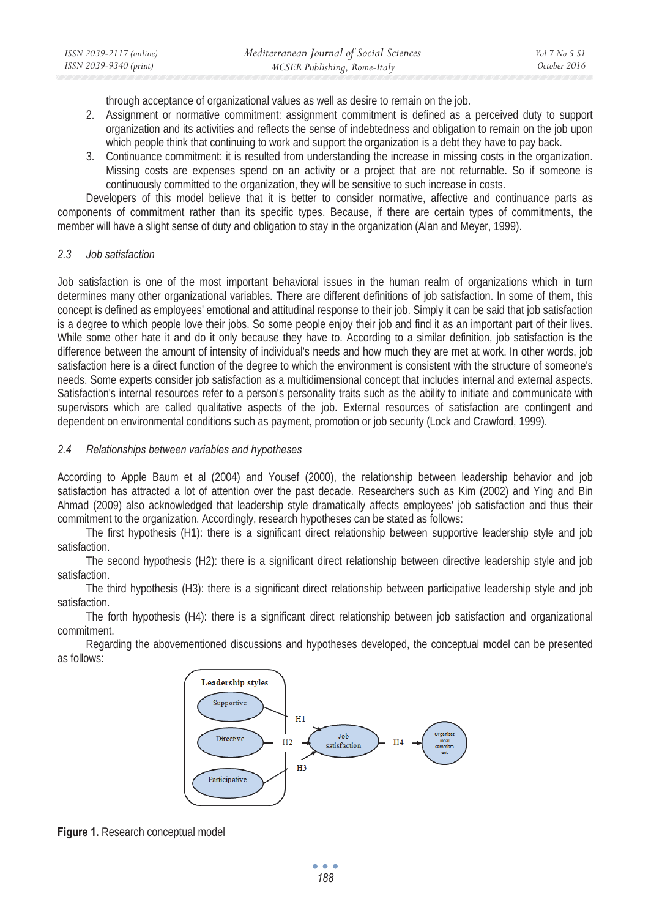through acceptance of organizational values as well as desire to remain on the job.

- 2. Assignment or normative commitment: assignment commitment is defined as a perceived duty to support organization and its activities and reflects the sense of indebtedness and obligation to remain on the job upon which people think that continuing to work and support the organization is a debt they have to pay back.
- 3. Continuance commitment: it is resulted from understanding the increase in missing costs in the organization. Missing costs are expenses spend on an activity or a project that are not returnable. So if someone is continuously committed to the organization, they will be sensitive to such increase in costs.

Developers of this model believe that it is better to consider normative, affective and continuance parts as components of commitment rather than its specific types. Because, if there are certain types of commitments, the member will have a slight sense of duty and obligation to stay in the organization (Alan and Meyer, 1999).

# *2.3 Job satisfaction*

Job satisfaction is one of the most important behavioral issues in the human realm of organizations which in turn determines many other organizational variables. There are different definitions of job satisfaction. In some of them, this concept is defined as employees' emotional and attitudinal response to their job. Simply it can be said that job satisfaction is a degree to which people love their jobs. So some people enjoy their job and find it as an important part of their lives. While some other hate it and do it only because they have to. According to a similar definition, job satisfaction is the difference between the amount of intensity of individual's needs and how much they are met at work. In other words, job satisfaction here is a direct function of the degree to which the environment is consistent with the structure of someone's needs. Some experts consider job satisfaction as a multidimensional concept that includes internal and external aspects. Satisfaction's internal resources refer to a person's personality traits such as the ability to initiate and communicate with supervisors which are called qualitative aspects of the job. External resources of satisfaction are contingent and dependent on environmental conditions such as payment, promotion or job security (Lock and Crawford, 1999).

### *2.4 Relationships between variables and hypotheses*

According to Apple Baum et al (2004) and Yousef (2000), the relationship between leadership behavior and job satisfaction has attracted a lot of attention over the past decade. Researchers such as Kim (2002) and Ying and Bin Ahmad (2009) also acknowledged that leadership style dramatically affects employees' job satisfaction and thus their commitment to the organization. Accordingly, research hypotheses can be stated as follows:

The first hypothesis (H1): there is a significant direct relationship between supportive leadership style and job satisfaction.

The second hypothesis (H2): there is a significant direct relationship between directive leadership style and job satisfaction.

The third hypothesis (H3): there is a significant direct relationship between participative leadership style and job satisfaction.

The forth hypothesis (H4): there is a significant direct relationship between job satisfaction and organizational commitment.

Regarding the abovementioned discussions and hypotheses developed, the conceptual model can be presented as follows:



**Figure 1.** Research conceptual model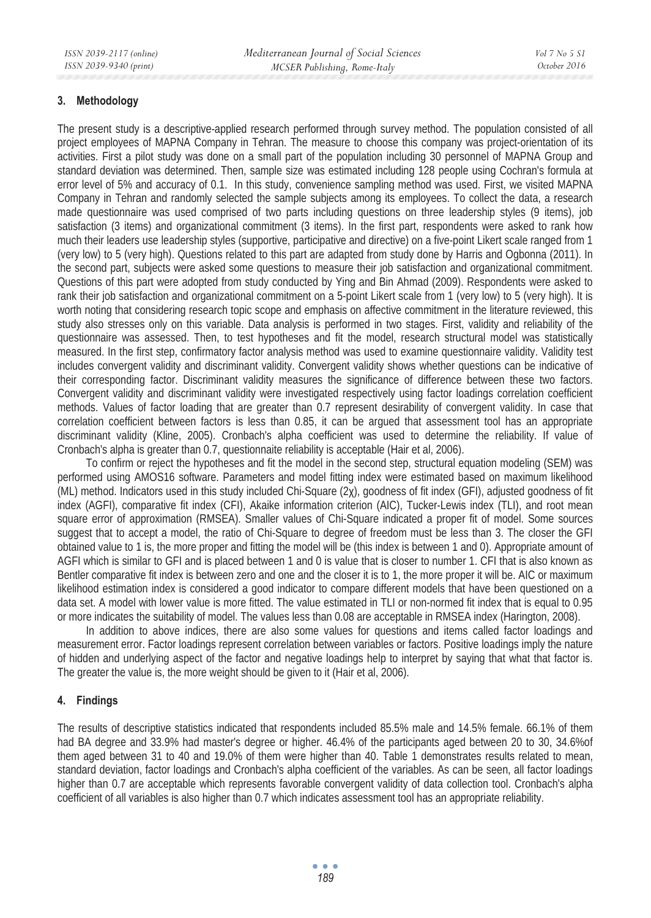# **3. Methodology**

The present study is a descriptive-applied research performed through survey method. The population consisted of all project employees of MAPNA Company in Tehran. The measure to choose this company was project-orientation of its activities. First a pilot study was done on a small part of the population including 30 personnel of MAPNA Group and standard deviation was determined. Then, sample size was estimated including 128 people using Cochran's formula at error level of 5% and accuracy of 0.1. In this study, convenience sampling method was used. First, we visited MAPNA Company in Tehran and randomly selected the sample subjects among its employees. To collect the data, a research made questionnaire was used comprised of two parts including questions on three leadership styles (9 items), job satisfaction (3 items) and organizational commitment (3 items). In the first part, respondents were asked to rank how much their leaders use leadership styles (supportive, participative and directive) on a five-point Likert scale ranged from 1 (very low) to 5 (very high). Questions related to this part are adapted from study done by Harris and Ogbonna (2011). In the second part, subjects were asked some questions to measure their job satisfaction and organizational commitment. Questions of this part were adopted from study conducted by Ying and Bin Ahmad (2009). Respondents were asked to rank their job satisfaction and organizational commitment on a 5-point Likert scale from 1 (very low) to 5 (very high). It is worth noting that considering research topic scope and emphasis on affective commitment in the literature reviewed, this study also stresses only on this variable. Data analysis is performed in two stages. First, validity and reliability of the questionnaire was assessed. Then, to test hypotheses and fit the model, research structural model was statistically measured. In the first step, confirmatory factor analysis method was used to examine questionnaire validity. Validity test includes convergent validity and discriminant validity. Convergent validity shows whether questions can be indicative of their corresponding factor. Discriminant validity measures the significance of difference between these two factors. Convergent validity and discriminant validity were investigated respectively using factor loadings correlation coefficient methods. Values of factor loading that are greater than 0.7 represent desirability of convergent validity. In case that correlation coefficient between factors is less than 0.85, it can be argued that assessment tool has an appropriate discriminant validity (Kline, 2005). Cronbach's alpha coefficient was used to determine the reliability. If value of Cronbach's alpha is greater than 0.7, questionnaite reliability is acceptable (Hair et al, 2006).

To confirm or reject the hypotheses and fit the model in the second step, structural equation modeling (SEM) was performed using AMOS16 software. Parameters and model fitting index were estimated based on maximum likelihood (ML) method. Indicators used in this study included Chi-Square (2Ȥ), goodness of fit index (GFI), adjusted goodness of fit index (AGFI), comparative fit index (CFI), Akaike information criterion (AIC), Tucker-Lewis index (TLI), and root mean square error of approximation (RMSEA). Smaller values of Chi-Square indicated a proper fit of model. Some sources suggest that to accept a model, the ratio of Chi-Square to degree of freedom must be less than 3. The closer the GFI obtained value to 1 is, the more proper and fitting the model will be (this index is between 1 and 0). Appropriate amount of AGFI which is similar to GFI and is placed between 1 and 0 is value that is closer to number 1. CFI that is also known as Bentler comparative fit index is between zero and one and the closer it is to 1, the more proper it will be. AIC or maximum likelihood estimation index is considered a good indicator to compare different models that have been questioned on a data set. A model with lower value is more fitted. The value estimated in TLI or non-normed fit index that is equal to 0.95 or more indicates the suitability of model. The values less than 0.08 are acceptable in RMSEA index (Harington, 2008).

In addition to above indices, there are also some values for questions and items called factor loadings and measurement error. Factor loadings represent correlation between variables or factors. Positive loadings imply the nature of hidden and underlying aspect of the factor and negative loadings help to interpret by saying that what that factor is. The greater the value is, the more weight should be given to it (Hair et al, 2006).

### **4. Findings**

The results of descriptive statistics indicated that respondents included 85.5% male and 14.5% female. 66.1% of them had BA degree and 33.9% had master's degree or higher. 46.4% of the participants aged between 20 to 30, 34.6%of them aged between 31 to 40 and 19.0% of them were higher than 40. Table 1 demonstrates results related to mean, standard deviation, factor loadings and Cronbach's alpha coefficient of the variables. As can be seen, all factor loadings higher than 0.7 are acceptable which represents favorable convergent validity of data collection tool. Cronbach's alpha coefficient of all variables is also higher than 0.7 which indicates assessment tool has an appropriate reliability.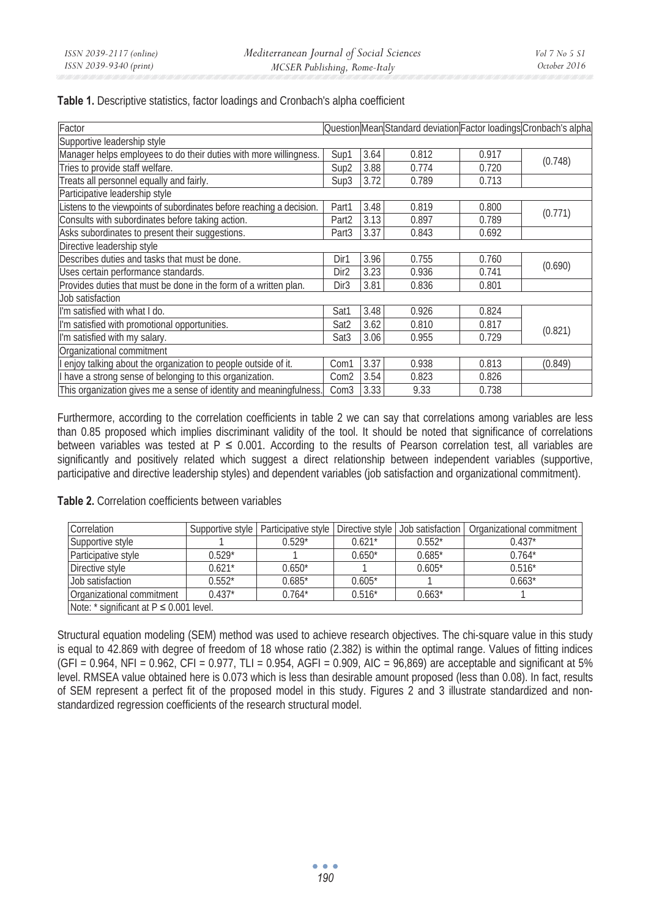| Table 1. Descriptive statistics, factor loadings and Cronbach's alpha coefficient |  |  |  |  |
|-----------------------------------------------------------------------------------|--|--|--|--|
|                                                                                   |  |  |  |  |

| Factor                                                                |                   |      | Question Mean Standard deviation Factor loadings Cronbach's alpha |       |         |  |  |
|-----------------------------------------------------------------------|-------------------|------|-------------------------------------------------------------------|-------|---------|--|--|
| Supportive leadership style                                           |                   |      |                                                                   |       |         |  |  |
| Manager helps employees to do their duties with more willingness.     | Sup1              | 3.64 | 0.812                                                             | 0.917 |         |  |  |
| Tries to provide staff welfare.                                       | Sup2              | 3.88 | 0.774                                                             | 0.720 | (0.748) |  |  |
| Treats all personnel equally and fairly.                              | Sup3              | 3.72 | 0.789                                                             | 0.713 |         |  |  |
| Participative leadership style                                        |                   |      |                                                                   |       |         |  |  |
| Listens to the viewpoints of subordinates before reaching a decision. | Part1             | 3.48 | 0.819                                                             | 0.800 | (0.771) |  |  |
| Consults with subordinates before taking action.                      | Part <sub>2</sub> | 3.13 | 0.897                                                             | 0.789 |         |  |  |
| Asks subordinates to present their suggestions.                       | Part <sub>3</sub> | 3.37 | 0.843                                                             | 0.692 |         |  |  |
| Directive leadership style                                            |                   |      |                                                                   |       |         |  |  |
| Describes duties and tasks that must be done.                         | Dir1              | 3.96 | 0.755                                                             | 0.760 | (0.690) |  |  |
| Uses certain performance standards.                                   |                   | 3.23 | 0.936                                                             | 0.741 |         |  |  |
| Provides duties that must be done in the form of a written plan.      | Dir3              | 3.81 | 0.836                                                             | 0.801 |         |  |  |
| Job satisfaction                                                      |                   |      |                                                                   |       |         |  |  |
| I'm satisfied with what I do.                                         | Sat1              | 3.48 | 0.926                                                             | 0.824 |         |  |  |
| I'm satisfied with promotional opportunities.                         |                   | 3.62 | 0.810                                                             | 0.817 | (0.821) |  |  |
| I'm satisfied with my salary.                                         |                   | 3.06 | 0.955                                                             | 0.729 |         |  |  |
| Organizational commitment                                             |                   |      |                                                                   |       |         |  |  |
| I enjoy talking about the organization to people outside of it.       | Com1              | 3.37 | 0.938                                                             | 0.813 | (0.849) |  |  |
| I have a strong sense of belonging to this organization.              |                   | 3.54 | 0.823                                                             | 0.826 |         |  |  |
| This organization gives me a sense of identity and meaningfulness.    | Com <sub>3</sub>  | 3.33 | 9.33                                                              | 0.738 |         |  |  |

Furthermore, according to the correlation coefficients in table 2 we can say that correlations among variables are less than 0.85 proposed which implies discriminant validity of the tool. It should be noted that significance of correlations between variables was tested at  $P \le 0.001$ . According to the results of Pearson correlation test, all variables are significantly and positively related which suggest a direct relationship between independent variables (supportive, participative and directive leadership styles) and dependent variables (job satisfaction and organizational commitment).

**Table 2.** Correlation coefficients between variables

| Correlation                                    | Supportive style | Participative style |          |          | Directive style LJob satisfaction Dorganizational commitment |  |  |
|------------------------------------------------|------------------|---------------------|----------|----------|--------------------------------------------------------------|--|--|
| Supportive style                               |                  | $0.529*$            | $0.621*$ | $0.552*$ | $0.437*$                                                     |  |  |
| Participative style                            | $0.529*$         |                     | $0.650*$ | $0.685*$ | $0.764*$                                                     |  |  |
| Directive style                                | $0.621*$         | $0.650*$            |          | $0.605*$ | $0.516*$                                                     |  |  |
| Job satisfaction                               | $0.552*$         | $0.685*$            | $0.605*$ |          | $0.663*$                                                     |  |  |
| Organizational commitment                      | $0.437*$         | $0.764*$            | $0.516*$ | $0.663*$ |                                                              |  |  |
| Note: $*$ significant at $P \leq 0.001$ level. |                  |                     |          |          |                                                              |  |  |

Structural equation modeling (SEM) method was used to achieve research objectives. The chi-square value in this study is equal to 42.869 with degree of freedom of 18 whose ratio (2.382) is within the optimal range. Values of fitting indices  $(GFI = 0.964, NFI = 0.962, CFI = 0.977, TLI = 0.954, AGFI = 0.909, AIC = 96,869)$  are acceptable and significant at 5% level. RMSEA value obtained here is 0.073 which is less than desirable amount proposed (less than 0.08). In fact, results of SEM represent a perfect fit of the proposed model in this study. Figures 2 and 3 illustrate standardized and nonstandardized regression coefficients of the research structural model.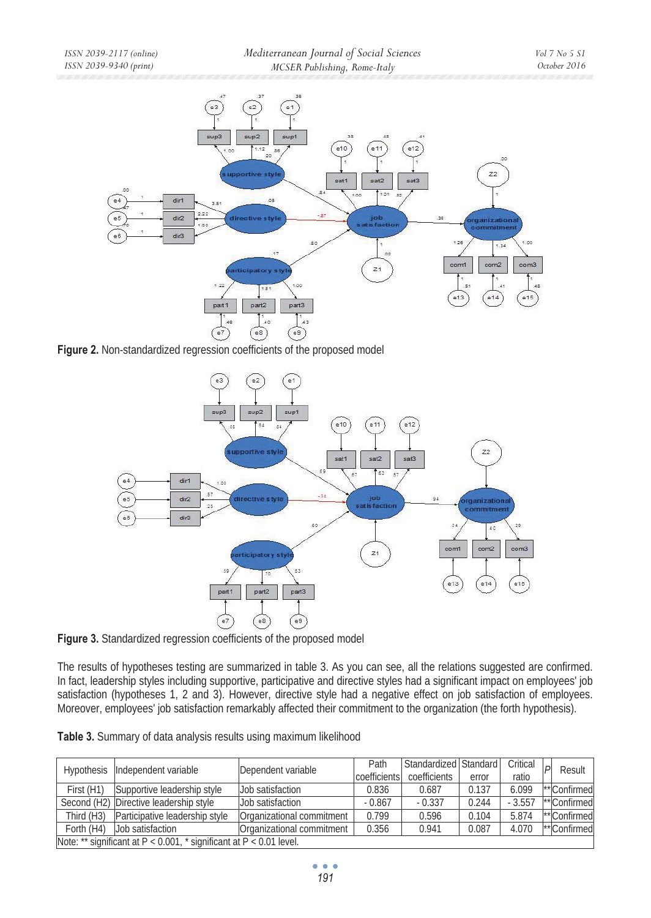

**Figure 2.** Non-standardized regression coefficients of the proposed model



**Figure 3.** Standardized regression coefficients of the proposed model

The results of hypotheses testing are summarized in table 3. As you can see, all the relations suggested are confirmed. In fact, leadership styles including supportive, participative and directive styles had a significant impact on employees' job satisfaction (hypotheses 1, 2 and 3). However, directive style had a negative effect on job satisfaction of employees. Moreover, employees' job satisfaction remarkably affected their commitment to the organization (the forth hypothesis).

|  |  |  | Table 3. Summary of data analysis results using maximum likelihood |
|--|--|--|--------------------------------------------------------------------|
|--|--|--|--------------------------------------------------------------------|

|                                                                          | Hypothesis Independent variable        | Dependent variable        | Path         | Standardized Standard |       | Critical |  | Result       |
|--------------------------------------------------------------------------|----------------------------------------|---------------------------|--------------|-----------------------|-------|----------|--|--------------|
|                                                                          |                                        |                           | coefficients | coefficients          | error | ratio    |  |              |
| First (H1)                                                               | Supportive leadership style            | <b>Job satisfaction</b>   | 0.836        | 0.687                 | 0.137 | 6.099    |  | **IConfirmed |
|                                                                          | Second (H2) Directive leadership style | Job satisfaction          | $-0.867$     | $-0.337$              | 0.244 | $-3.557$ |  | **IConfirmed |
| Third (H3)                                                               | Participative leadership style         | Organizational commitment | 0.799        | 0.596                 | 0.104 | 5.874    |  | **Confirmed  |
| Forth (H4)                                                               | Job satisfaction                       | Organizational commitment | 0.356        | 0.941                 | 0.087 | 4.070    |  | **Confirmed  |
| Note: ** significant at $P < 0.001$ , * significant at $P < 0.01$ level. |                                        |                           |              |                       |       |          |  |              |